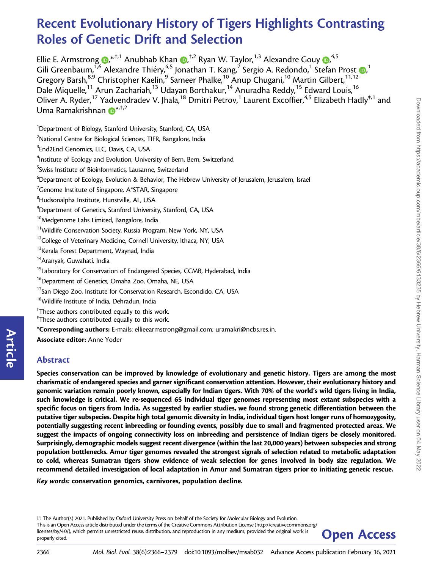# Recent Evolutionary History of Tigers Highlights Contrasting Roles of Genetic Drift and Selection

Ellie E. Armstrong **D[,](https://orcid.org/0000-0002-6342-6522)\***<sup>+,1</sup> Anubhab Khan **D,**<sup>+,2</sup> Ryan W. Taylor,<sup>1,3</sup> Alexandre Gouy **D**,<sup>4,5</sup> Gili Greenbaum[,](https://orcid.org/0000-0002-6229-3596) $^{\bar{1,6}}$  $^{\bar{1,6}}$  $^{\bar{1,6}}$  Alexandre Thiéry, $^{4,5}$  Jonathan T. Kang, $^{\bar{7}}$  Sergio A. Redondo, $^1$  Stefan Prost  $\bm{\odot}$ , $^1$ Gregory Barsh, $^{8,9}$  Christopher Kaelin, $^9$  Sameer Phalke, $^{10}$  Anup Chugani, $^{10}$  Martin Gilbert, $^{11,12}$ Dale Miquelle,<sup>11</sup> Arun Zachariah,<sup>13</sup> Udayan Borthakur,<sup>14</sup> Anuradha Reddy,<sup>15</sup> Edward Louis,<sup>16</sup> Oliver A. Ryder,<sup>17</sup> Yadvendradev V. Jhala,<sup>18</sup> Dmitri Petrov,<sup>1</sup> Laurent Excoffier,<sup>4,5</sup> Elizabeth Hadly<sup>‡,1</sup> and Uma Ramakrishnan D[\\*](https://orcid.org/0000-0002-5370-5966)<sup>\*, †, 2</sup>

<sup>1</sup>Department of Biology, Stanford University, Stanford, CA, USA

<sup>2</sup>National Centre for Biological Sciences, TIFR, Bangalore, India

- $\mathrm{^4}$ Institute of Ecology and Evolution, University of Bern, Bern, Switzerland
- 5 Swiss Institute of Bioinformatics, Lausanne, Switzerland
- $^6$ Department of Ecology, Evolution & Behavior, The Hebrew University of Jerusalem, Jerusalem, Israel
- $\mathrm{^{7}G}$ enome Institute of Singapore, A $\mathrm{*STAR}$ , Singapore
- ${}^{8}$ Hudsonalpha Institute, Hunstville, AL, USA
- $^9$ Department of Genetics, Stanford University, Stanford, CA, USA
- <sup>10</sup>Medgenome Labs Limited, Bangalore, India
- <sup>11</sup>Wildlife Conservation Society, Russia Program, New York, NY, USA
- <sup>12</sup>College of Veterinary Medicine, Cornell University, Ithaca, NY, USA
- <sup>13</sup>Kerala Forest Department, Waynad, India
- <sup>14</sup>Aranyak, Guwahati, India
- <sup>15</sup>Laboratory for Conservation of Endangered Species, CCMB, Hyderabad, India
- <sup>16</sup>Department of Genetics, Omaha Zoo, Omaha, NE, USA
- <sup>17</sup>San Diego Zoo, Institute for Conservation Research, Escondido, CA, USA
- <sup>18</sup>Wildlife Institute of India, Dehradun, India
- † These authors contributed equally to this work.
- ‡ These authors contributed equally to this work.
- \*Corresponding authors: E-mails: ellieearmstrong@gmail.com; uramakri@ncbs.res.in.
- Associate editor: Anne Yoder

# Abstract

Species conservation can be improved by knowledge of evolutionary and genetic history. Tigers are among the most charismatic of endangered species and garner significant conservation attention. However, their evolutionary history and genomic variation remain poorly known, especially for Indian tigers. With 70% of the world's wild tigers living in India, such knowledge is critical. We re-sequenced 65 individual tiger genomes representing most extant subspecies with a specific focus on tigers from India. As suggested by earlier studies, we found strong genetic differentiation between the putative tiger subspecies. Despite high total genomic diversity in India, individual tigers host longer runs of homozygosity, potentially suggesting recent inbreeding or founding events, possibly due to small and fragmented protected areas. We suggest the impacts of ongoing connectivity loss on inbreeding and persistence of Indian tigers be closely monitored. Surprisingly, demographic models suggest recent divergence (within the last 20,000 years) between subspecies and strong population bottlenecks. Amur tiger genomes revealed the strongest signals of selection related to metabolic adaptation to cold, whereas Sumatran tigers show evidence of weak selection for genes involved in body size regulation. We recommend detailed investigation of local adaptation in Amur and Sumatran tigers prior to initiating genetic rescue.

Key words: conservation genomics, carnivores, population decline.

- The Author(s) 2021. Published by Oxford University Press on behalf of the Society for Molecular Biology and Evolution. This is an Open Access article distributed under the terms of the Creative Commons Attribution License (http://creativecommons.org/ licenses/by/4.0/), which permits unrestricted reuse, distribution, and reproduction in any medium, provided the original work is **Open Access** 



Article

<sup>&</sup>lt;sup>3</sup>End2End Genomics, LLC, Davis, CA, USA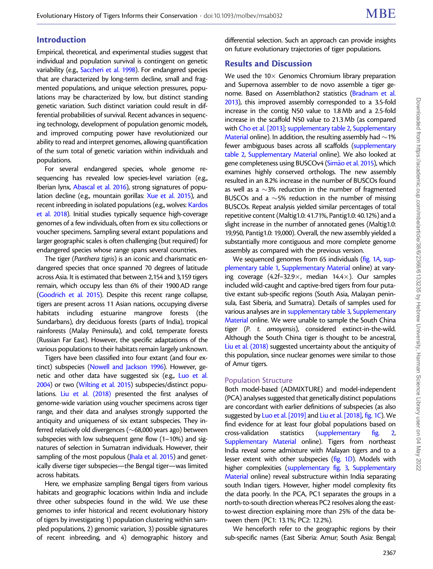# Introduction

Empirical, theoretical, and experimental studies suggest that individual and population survival is contingent on genetic variability (e.g., [Saccheri et al. 1998](#page-13-0)). For endangered species that are characterized by long-term decline, small and fragmented populations, and unique selection pressures, populations may be characterized by low, but distinct standing genetic variation. Such distinct variation could result in differential probabilities of survival. Recent advances in sequencing technology, development of population genomic models, and improved computing power have revolutionized our ability to read and interpret genomes, allowing quantification of the sum total of genetic variation within individuals and populations.

For several endangered species, whole genome resequencing has revealed low species-level variation (e.g., Iberian lynx, [Abascal et al. 2016\)](#page-11-0), strong signatures of popu-lation decline (e.g., mountain gorillas: [Xue et al. 2015](#page-13-0)), and recent inbreeding in isolated populations (e.g., wolves: [Kardos](#page-12-0) [et al. 2018](#page-12-0)). Initial studies typically sequence high-coverage genomes of a few individuals, often from ex situ collections or voucher specimens. Sampling several extant populations and larger geographic scales is often challenging (but required) for endangered species whose range spans several countries.

The tiger (Panthera tigris) is an iconic and charismatic endangered species that once spanned 70 degrees of latitude across Asia. It is estimated that between 2,154 and 3,159 tigers remain, which occupy less than 6% of their 1900 AD range ([Goodrich et al. 2015](#page-12-0)). Despite this recent range collapse, tigers are present across 11 Asian nations, occupying diverse habitats including estuarine mangrove forests (the Sundarbans), dry deciduous forests (parts of India), tropical rainforests (Malay Peninsula), and cold, temperate forests (Russian Far East). However, the specific adaptations of the various populations to their habitats remain largely unknown.

Tigers have been classified into four extant (and four extinct) subspecies ([Nowell and Jackson 1996\)](#page-12-0). However, genetic and other data have suggested six (e.g., [Luo et al.](#page-12-0) [2004\)](#page-12-0) or two [\(Wilting et al. 2015\)](#page-13-0) subspecies/distinct populations. [Liu et al. \(2018\)](#page-12-0) presented the first analyses of genome-wide variation using voucher specimens across tiger range, and their data and analyses strongly supported the antiquity and uniqueness of six extant subspecies. They inferred relatively old divergences ( $\sim$ 68,000 years ago) between subspecies with low subsequent gene flow (1–10%) and signatures of selection in Sumatran individuals. However, their sampling of the most populous (*Jhala et al. 2015*) and genetically diverse tiger subspecies—the Bengal tiger—was limited across habitats.

Here, we emphasize sampling Bengal tigers from various habitats and geographic locations within India and include three other subspecies found in the wild. We use these genomes to infer historical and recent evolutionary history of tigers by investigating 1) population clustering within sampled populations, 2) genomic variation, 3) possible signatures of recent inbreeding, and 4) demographic history and differential selection. Such an approach can provide insights on future evolutionary trajectories of tiger populations.

# Results and Discussion

We used the  $10\times$  Genomics Chromium library preparation and Supernova assembler to de novo assemble a tiger genome. Based on Assemblathon2 statistics [\(Bradnam et al.](#page-12-0) [2013\)](#page-12-0), this improved assembly corresponded to a 3.5-fold increase in the contig N50 value to 1.8 Mb and a 2.5-fold increase in the scaffold N50 value to 21.3 Mb (as compared with [Cho et al. \[2013\];](#page-12-0) supplementary table 2, Supplementary Material online). In addition, the resulting assembly had  $\sim$  1% fewer ambiguous bases across all scaffolds (supplementary table 2, Supplementary Material online). We also looked at gene completeness using BUSCOv4 [\(Sim](#page-13-0)ão et al. 2015), which examines highly conserved orthologs. The new assembly resulted in an 8.2% increase in the number of BUSCOs found as well as a  $\sim$ 3% reduction in the number of fragmented BUSCOs and a  $\sim$  5% reduction in the number of missing BUSCOs. Repeat analysis yielded similar percentages of total repetitive content (Maltig1.0: 41.71%, Pantig1.0: 40.12%) and a slight increase in the number of annotated genes (Maltig1.0: 19,950, Pantig1.0: 19,000). Overall, the new assembly yielded a substantially more contiguous and more complete genome assembly as compared with the previous version.

We sequenced genomes from 65 individuals [\(fig. 1](#page-2-0)A, supplementary table 1, Supplementary Material online) at varying coverage  $(4.2f-32.9\times,$  median  $14.4\times)$ . Our samples included wild-caught and captive-bred tigers from four putative extant sub-specific regions (South Asia, Malayan peninsula, East Siberia, and Sumatra). Details of samples used for various analyses are in supplementary table 3, Supplementary Material online. We were unable to sample the South China tiger (P. t. amoyensis), considered extinct-in-the-wild. Although the South China tiger is thought to be ancestral, [Liu et al. \(2018\)](#page-12-0) suggested uncertainty about the antiquity of this population, since nuclear genomes were similar to those of Amur tigers.

## Population Structure

Both model-based (ADMIXTURE) and model-independent (PCA) analyses suggested that genetically distinct populations are concordant with earlier definitions of subspecies (as also suggested by [Luo et al. \[2019\]](#page-12-0) and [Liu et al. \[2018\],](#page-12-0) [fig. 1](#page-2-0)C). We find evidence for at least four global populations based on cross-validation statistics (supplementary fig. 2, Supplementary Material online). Tigers from northeast India reveal some admixture with Malayan tigers and to a lesser extent with other subspecies ([fig. 1](#page-2-0)D). Models with higher complexities (supplementary fig. 3, Supplementary Material online) reveal substructure within India separating south Indian tigers. However, higher model complexity fits the data poorly. In the PCA, PC1 separates the groups in a north-to-south direction whereas PC2 resolves along the eastto-west direction explaining more than 25% of the data between them (PC1: 13.1%; PC2: 12.2%).

We henceforth refer to the geographic regions by their sub-specific names (East Siberia: Amur; South Asia: Bengal;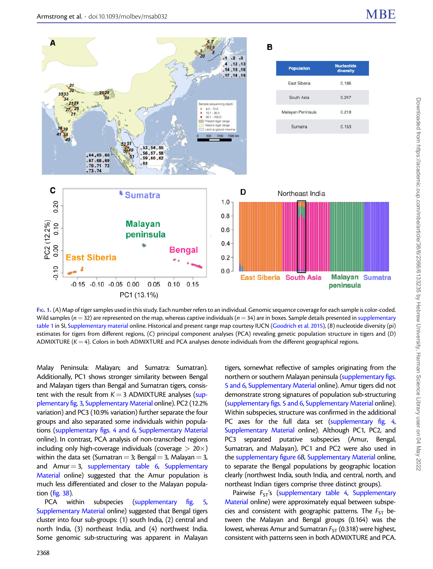<span id="page-2-0"></span>

FIG. 1. (A) Map of tiger samples used in this study. Each number refers to an individual. Genomic sequence coverage for each sample is color-coded. Wild samples ( $n = 32$ ) are represented on the map, whereas captive individuals ( $n = 34$ ) are in boxes. Sample details presented in supplementary table 1 in SI, Supplementary material online. Historical and present range map courtesy IUCN [\(Goodrich et al. 2015](#page-12-0)), (B) nucleotide diversity (pi) estimates for tigers from different regions, (C) principal component analyses (PCA) revealing genetic population structure in tigers and (D) ADMIXTURE ( $K = 4$ ). Colors in both ADMIXTURE and PCA analyses denote individuals from the different geographical regions.

Malay Peninsula: Malayan; and Sumatra: Sumatran). Additionally, PC1 shows stronger similarity between Bengal and Malayan tigers than Bengal and Sumatran tigers, consistent with the result from  $K = 3$  ADMIXTURE analyses (supplementary fig. 3, Supplementary Material online). PC2 (12.2% variation) and PC3 (10.9% variation) further separate the four groups and also separated some individuals within populations (supplementary figs. 4 and 6, Supplementary Material online). In contrast, PCA analysis of non-transcribed regions including only high-coverage individuals (coverage  $> 20\times$ ) within the data set (Sumatran = 3; Bengal = 3, Malayan = 3, and Amur  $=$  3, supplementary table 6, Supplementary Material online) suggested that the Amur population is much less differentiated and closer to the Malayan population ( $fig. 3B$ ).

PCA within subspecies (supplementary fig. 5, Supplementary Material online) suggested that Bengal tigers cluster into four sub-groups: (1) south India, (2) central and north India, (3) northeast India, and (4) northwest India. Some genomic sub-structuring was apparent in Malayan

tigers, somewhat reflective of samples originating from the northern or southern Malayan peninsula (supplementary figs. 5 and 6, Supplementary Material online). Amur tigers did not demonstrate strong signatures of population sub-structuring (supplementary figs. 5 and 6, Supplementary Material online). Within subspecies, structure was confirmed in the additional PC axes for the full data set (supplementary fig. 4, Supplementary Material online). Although PC1, PC2, and PC3 separated putative subspecies (Amur, Bengal, Sumatran, and Malayan), PC1 and PC2 were also used in the supplementary figure 6B, Supplementary Material online, to separate the Bengal populations by geographic location clearly (northwest India, south India, and central, north, and northeast Indian tigers comprise three distinct groups).

Pairwise  $F_{ST}$ 's (supplementary table 4, Supplementary Material online) were approximately equal between subspecies and consistent with geographic patterns. The  $F_{ST}$  between the Malayan and Bengal groups (0.164) was the lowest, whereas Amur and Sumatran  $F_{ST}$  (0.318) were highest, consistent with patterns seen in both ADMIXTURE and PCA.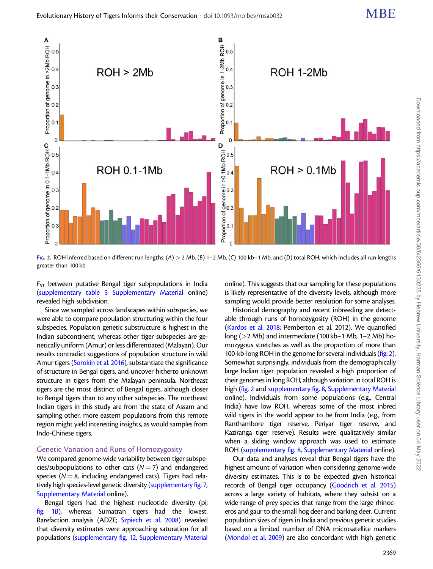<span id="page-3-0"></span>

FIG. 2. ROH inferred based on different run lengths:  $(A) > 2$  Mb,  $(B)$  1–2 Mb,  $(C)$  100 kb–1 Mb, and  $(D)$  total ROH, which includes all run lengths greater than 100 kb.

 $F_{ST}$  between putative Bengal tiger subpopulations in India (supplementary table 5 Supplementary Material online) revealed high subdivision.

Since we sampled across landscapes within subspecies, we were able to compare population structuring within the four subspecies. Population genetic substructure is highest in the Indian subcontinent, whereas other tiger subspecies are genetically uniform (Amur) or less differentiated (Malayan). Our results contradict suggestions of population structure in wild Amur tigers [\(Sorokin et al. 2016\)](#page-13-0), substantiate the significance of structure in Bengal tigers, and uncover hitherto unknown structure in tigers from the Malayan peninsula. Northeast tigers are the most distinct of Bengal tigers, although closer to Bengal tigers than to any other subspecies. The northeast Indian tigers in this study are from the state of Assam and sampling other, more eastern populations from this remote region might yield interesting insights, as would samples from Indo-Chinese tigers.

## Genetic Variation and Runs of Homozygosity

We compared genome-wide variability between tiger subspecies/subpopulations to other cats  $(N=7)$  and endangered species ( $N = 8$ , including endangered cats). Tigers had relatively high species-level genetic diversity (supplementary fig. 7, Supplementary Material online).

Bengal tigers had the highest nucleotide diversity (pi; [fig. 1](#page-2-0)B), whereas Sumatran tigers had the lowest. Rarefaction analysis (ADZE; [Szpiech et al. 2008](#page-13-0)) revealed that diversity estimates were approaching saturation for all populations (supplementary fig. 12, Supplementary Material online). This suggests that our sampling for these populations is likely representative of the diversity levels, although more sampling would provide better resolution for some analyses.

Historical demography and recent inbreeding are detectable through runs of homozygosity (ROH) in the genome [\(Kardos et al. 2018;](#page-12-0) Pemberton et al. 2012). We quantified long (>2 Mb) and intermediate (100 kb–1 Mb, 1–2 Mb) homozygous stretches as well as the proportion of more than 100-kb-long ROH in the genome for several individuals (fig. 2). Somewhat surprisingly, individuals from the demographically large Indian tiger population revealed a high proportion of their genomes in long ROH, although variation in total ROH is high (fig. 2 and supplementary fig. 8, Supplementary Material online). Individuals from some populations (e.g., Central India) have low ROH, whereas some of the most inbred wild tigers in the world appear to be from India (e.g., from Ranthambore tiger reserve, Periyar tiger reserve, and Kaziranga tiger reserve). Results were qualitatively similar when a sliding window approach was used to estimate ROH (supplementary fig. 8, Supplementary Material online).

Our data and analyses reveal that Bengal tigers have the highest amount of variation when considering genome-wide diversity estimates. This is to be expected given historical records of Bengal tiger occupancy ([Goodrich et al. 2015](#page-12-0)) across a large variety of habitats, where they subsist on a wide range of prey species that range from the large rhinoceros and gaur to the small hog deer and barking deer. Current population sizes of tigers in India and previous genetic studies based on a limited number of DNA microsatellite markers [\(Mondol et al. 2009\)](#page-12-0) are also concordant with high genetic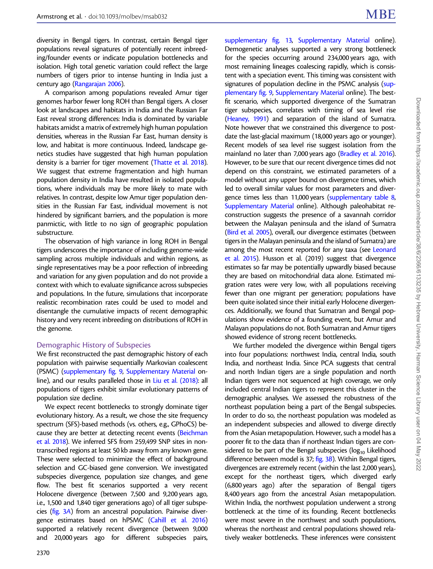diversity in Bengal tigers. In contrast, certain Bengal tiger populations reveal signatures of potentially recent inbreeding/founder events or indicate population bottlenecks and isolation. High total genetic variation could reflect the large numbers of tigers prior to intense hunting in India just a century ago ([Rangarajan 2006\)](#page-13-0).

A comparison among populations revealed Amur tiger genomes harbor fewer long ROH than Bengal tigers. A closer look at landscapes and habitats in India and the Russian Far East reveal strong differences: India is dominated by variable habitats amidst a matrix of extremely high human population densities, whereas in the Russian Far East, human density is low, and habitat is more continuous. Indeed, landscape genetics studies have suggested that high human population density is a barrier for tiger movement [\(Thatte et al. 2018\)](#page-13-0). We suggest that extreme fragmentation and high human population density in India have resulted in isolated populations, where individuals may be more likely to mate with relatives. In contrast, despite low Amur tiger population densities in the Russian Far East, individual movement is not hindered by significant barriers, and the population is more panmictic, with little to no sign of geographic population substructure.

The observation of high variance in long ROH in Bengal tigers underscores the importance of including genome-wide sampling across multiple individuals and within regions, as single representatives may be a poor reflection of inbreeding and variation for any given population and do not provide a context with which to evaluate significance across subspecies and populations. In the future, simulations that incorporate realistic recombination rates could be used to model and disentangle the cumulative impacts of recent demographic history and very recent inbreeding on distributions of ROH in the genome.

## Demographic History of Subspecies

We first reconstructed the past demographic history of each population with pairwise sequentially Markovian coalescent (PSMC) (supplementary fig. 9, Supplementary Material online), and our results paralleled those in [Liu et al. \(2018\)](#page-12-0): all populations of tigers exhibit similar evolutionary patterns of population size decline.

We expect recent bottlenecks to strongly dominate tiger evolutionary history. As a result, we chose the site frequency spectrum (SFS)-based methods (vs. others, e.g., GPhoCS) be-cause they are better at detecting recent events [\(Beichman](#page-11-0) [et al. 2018\)](#page-11-0). We inferred SFS from 259,499 SNP sites in nontranscribed regions at least 50 kb away from any known gene. These were selected to minimize the effect of background selection and GC-biased gene conversion. We investigated subspecies divergence, population size changes, and gene flow. The best fit scenarios supported a very recent Holocene divergence (between 7,500 and 9,200 years ago, i.e., 1,500 and 1,840 tiger generations ago) of all tiger subspecies ([fig. 3](#page-5-0)A) from an ancestral population. Pairwise divergence estimates based on hPSMC [\(Cahill et al. 2016](#page-12-0)) supported a relatively recent divergence (between 9,000 and 20,000 years ago for different subspecies pairs,

supplementary fig. 13, Supplementary Material online). Demogenetic analyses supported a very strong bottleneck for the species occurring around 234,000 years ago, with most remaining lineages coalescing rapidly, which is consistent with a speciation event. This timing was consistent with signatures of population decline in the PSMC analysis (supplementary fig. 9, Supplementary Material online). The bestfit scenario, which supported divergence of the Sumatran tiger subspecies, correlates with timing of sea level rise [\(Heaney, 1991](#page-12-0)) and separation of the island of Sumatra. Note however that we constrained this divergence to postdate the last-glacial maximum (18,000 years ago or younger). Recent models of sea level rise suggest isolation from the mainland no later than 7,000 years ago [\(Bradley et al. 2016\)](#page-12-0). However, to be sure that our recent divergence times did not depend on this constraint, we estimated parameters of a model without any upper bound on divergence times, which led to overall similar values for most parameters and divergence times less than 11,000 years (supplementary table 8, Supplementary Material online). Although paleohabitat reconstruction suggests the presence of a savannah corridor between the Malayan peninsula and the island of Sumatra [\(Bird et al. 2005\)](#page-12-0), overall, our divergence estimates (between tigers in the Malayan peninsula and the island of Sumatra) are among the most recent reported for any taxa (see [Leonard](#page-12-0) [et al. 2015](#page-12-0)). Husson et al. (2019) suggest that divergence estimates so far may be potentially upwardly biased because they are based on mitochondrial data alone. Estimated migration rates were very low, with all populations receiving fewer than one migrant per generation; populations have been quite isolated since their initial early Holocene divergences. Additionally, we found that Sumatran and Bengal populations show evidence of a founding event, but Amur and Malayan populations do not. Both Sumatran and Amur tigers showed evidence of strong recent bottlenecks.

We further modeled the divergence within Bengal tigers into four populations: northwest India, central India, south India, and northeast India. Since PCA suggests that central and north Indian tigers are a single population and north Indian tigers were not sequenced at high coverage, we only included central Indian tigers to represent this cluster in the demographic analyses. We assessed the robustness of the northeast population being a part of the Bengal subspecies. In order to do so, the northeast population was modeled as an independent subspecies and allowed to diverge directly from the Asian metapopulation. However, such a model has a poorer fit to the data than if northeast Indian tigers are considered to be part of the Bengal subspecies ( $log_{10}$  Likelihood difference between model is 37; [fig. 3](#page-5-0)B). Within Bengal tigers, divergences are extremely recent (within the last 2,000 years), except for the northeast tigers, which diverged early (6,800 years ago) after the separation of Bengal tigers 8,400 years ago from the ancestral Asian metapopulation. Within India, the northwest population underwent a strong bottleneck at the time of its founding. Recent bottlenecks were most severe in the northwest and south populations, whereas the northeast and central populations showed relatively weaker bottlenecks. These inferences were consistent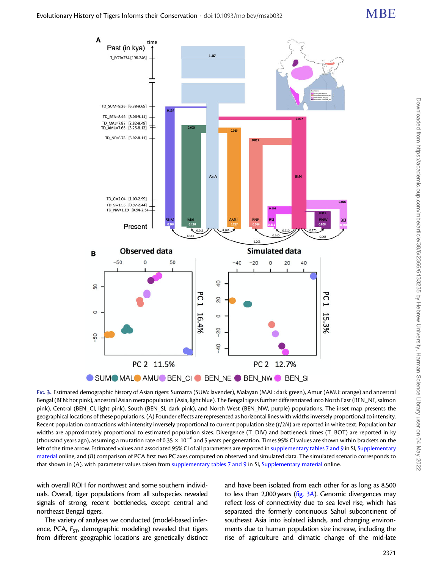<span id="page-5-0"></span>

SUMOMALO AMUO BEN\_CIO BEN\_NE O BEN\_NWO BEN\_SI FIG. 3. Estimated demographic history of Asian tigers: Sumatra (SUM: lavender), Malayan (MAL: dark green), Amur (AMU: orange) and ancestral Bengal (BEN: hot pink), ancestral Asian metapopulation (Asia, light blue). The Bengal tigers further differentiated into North East (BEN\_NE, salmon pink), Central (BEN\_CI, light pink), South (BEN\_SI, dark pink), and North West (BEN\_NW, purple) populations. The inset map presents the geographical locations of these populations. (A) Founder effects are represented as horizontal lines with widths inversely proportional to intensity. Recent population contractions with intensity inversely proportional to current population size  $(t/2N)$  are reported in white text. Population bar widths are approximately proportional to estimated population sizes. Divergence (T\_DIV) and bottleneck times (T\_BOT) are reported in ky (thousand years ago), assuming a mutation rate of 0.35  $\times$  10<sup>-8</sup> and 5 years per generation. Times 95% CI values are shown within brackets on the left of the time arrow. Estimated values and associated 95% CI of all parameters are reported in supplementary tables 7 and 9 in SI, Supplementary material online, and (B) comparison of PCA first two PC axes computed on observed and simulated data. The simulated scenario corresponds to that shown in (A), with parameter values taken from supplementary tables 7 and 9 in SI, Supplementary material online.

with overall ROH for northwest and some southern individuals. Overall, tiger populations from all subspecies revealed signals of strong, recent bottlenecks, except central and northeast Bengal tigers.

The variety of analyses we conducted (model-based inference, PCA,  $F_{ST}$ , demographic modeling) revealed that tigers from different geographic locations are genetically distinct and have been isolated from each other for as long as 8,500 to less than 2,000 years ( $fig. 3A$ ). Genomic divergences may reflect loss of connectivity due to sea level rise, which has separated the formerly continuous Sahul subcontinent of southeast Asia into isolated islands, and changing environments due to human population size increase, including the rise of agriculture and climatic change of the mid-late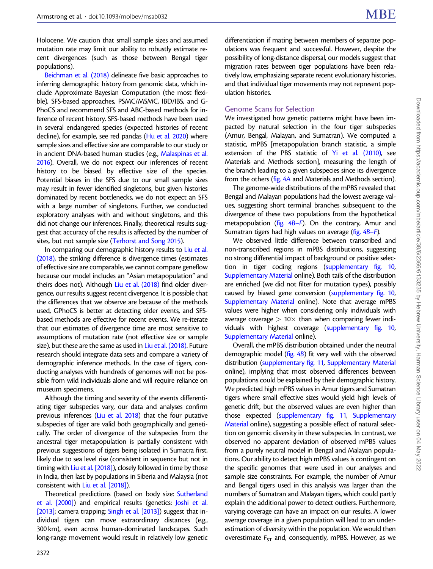Holocene. We caution that small sample sizes and assumed mutation rate may limit our ability to robustly estimate recent divergences (such as those between Bengal tiger populations).

[Beichman et al. \(2018\)](#page-11-0) delineate five basic approaches to inferring demographic history from genomic data, which include Approximate Bayesian Computation (the most flexible), SFS-based approaches, PSMC/MSMC, IBD/IBS, and G-PhoCS and recommend SFS and ABC-based methods for inference of recent history. SFS-based methods have been used in several endangered species (expected histories of recent decline), for example, see red pandas [\(Hu et al. 2020\)](#page-12-0) where sample sizes and effective size are comparable to our study or in ancient DNA-based human studies (e.g., [Malaspinas et al.](#page-12-0) [2016\)](#page-12-0). Overall, we do not expect our inferences of recent history to be biased by effective size of the species. Potential biases in the SFS due to our small sample sizes may result in fewer identified singletons, but given histories dominated by recent bottlenecks, we do not expect an SFS with a large number of singletons. Further, we conducted exploratory analyses with and without singletons, and this did not change our inferences. Finally, theoretical results suggest that accuracy of the results is affected by the number of sites, but not sample size ([Terhorst and Song 2015](#page-13-0)).

In comparing our demographic history results to [Liu et al.](#page-12-0) [\(2018\)](#page-12-0), the striking difference is divergence times (estimates of effective size are comparable, we cannot compare geneflow because our model includes an "Asian metapopulation" and theirs does not). Although [Liu et al. \(2018\)](#page-12-0) find older divergence, our results suggest recent divergence. It is possible that the differences that we observe are because of the methods used, GPhoCS is better at detecting older events, and SFSbased methods are effective for recent events. We re-iterate that our estimates of divergence time are most sensitive to assumptions of mutation rate (not effective size or sample size), but these are the same as used in [Liu et al. \(2018\).](#page-12-0) Future research should integrate data sets and compare a variety of demographic inference methods. In the case of tigers, conducting analyses with hundreds of genomes will not be possible from wild individuals alone and will require reliance on museum specimens.

Although the timing and severity of the events differentiating tiger subspecies vary, our data and analyses confirm previous inferences [\(Liu et al. 2018](#page-12-0)) that the four putative subspecies of tiger are valid both geographically and genetically. The order of divergence of the subspecies from the ancestral tiger metapopulation is partially consistent with previous suggestions of tigers being isolated in Sumatra first, likely due to sea level rise (consistent in sequence but not in timing with [Liu et al. \[2018\]\)](#page-12-0), closely followed in time by those in India, then last by populations in Siberia and Malaysia (not consistent with [Liu et al. \[2018\]\)](#page-12-0).

Theoretical predictions (based on body size: [Sutherland](#page-13-0) [et al. \[2000\]](#page-13-0)) and empirical results (genetics: [Joshi et al.](#page-12-0) [\[2013\]](#page-12-0); camera trapping: [Singh et al. \[2013\]](#page-13-0)) suggest that individual tigers can move extraordinary distances (e.g., 300 km), even across human-dominated landscapes. Such long-range movement would result in relatively low genetic differentiation if mating between members of separate populations was frequent and successful. However, despite the possibility of long-distance dispersal, our models suggest that migration rates between tiger populations have been relatively low, emphasizing separate recent evolutionary histories, and that individual tiger movements may not represent population histories.

## Genome Scans for Selection

We investigated how genetic patterns might have been impacted by natural selection in the four tiger subspecies (Amur, Bengal, Malayan, and Sumatran). We computed a statistic, mPBS [metapopulation branch statistic, a simple extension of the PBS statistic of [Yi et al. \(2010\)](#page-13-0), see Materials and Methods section], measuring the length of the branch leading to a given subspecies since its divergence from the others [\(fig. 4](#page-7-0)A and Materials and Methods section).

The genome-wide distributions of the mPBS revealed that Bengal and Malayan populations had the lowest average values, suggesting short terminal branches subsequent to the divergence of these two populations from the hypothetical metapopulation ( $fig. 4B-F$ ). On the contrary, Amur and Sumatran tigers had high values on average ([fig. 4](#page-7-0)B–F).

We observed little difference between transcribed and non-transcribed regions in mPBS distributions, suggesting no strong differential impact of background or positive selection in tiger coding regions (supplementary fig. 10, Supplementary Material online). Both tails of the distribution are enriched (we did not filter for mutation types), possibly caused by biased gene conversion (supplementary fig. 10, Supplementary Material online). Note that average mPBS values were higher when considering only individuals with average coverage  $> 10\times$  than when comparing fewer individuals with highest coverage (supplementary fig. 10, Supplementary Material online).

Overall, the mPBS distribution obtained under the neutral demographic model  $(fig. 4B)$  $(fig. 4B)$  $(fig. 4B)$  fit very well with the observed distribution (supplementary fig. 11, Supplementary Material online), implying that most observed differences between populations could be explained by their demographic history. We predicted high mPBS values in Amur tigers and Sumatran tigers where small effective sizes would yield high levels of genetic drift, but the observed values are even higher than those expected (supplementary fig. 11, Supplementary Material online), suggesting a possible effect of natural selection on genomic diversity in these subspecies. In contrast, we observed no apparent deviation of observed mPBS values from a purely neutral model in Bengal and Malayan populations. Our ability to detect high mPBS values is contingent on the specific genomes that were used in our analyses and sample size constraints. For example, the number of Amur and Bengal tigers used in this analysis was larger than the numbers of Sumatran and Malayan tigers, which could partly explain the additional power to detect outliers. Furthermore, varying coverage can have an impact on our results. A lower average coverage in a given population will lead to an underestimation of diversity within the population. We would then overestimate  $F_{ST}$  and, consequently, mPBS. However, as we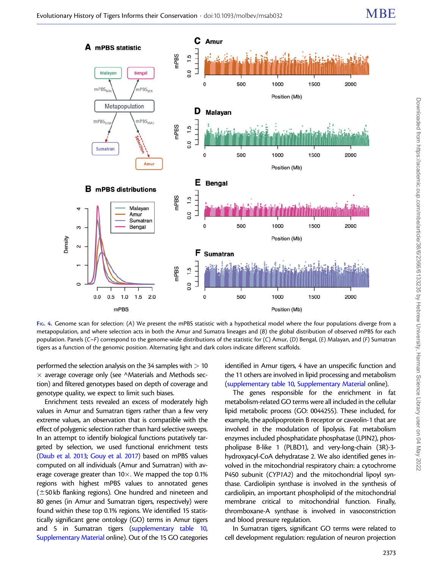<span id="page-7-0"></span>

FIG. 4. Genome scan for selection: (A) We present the mPBS statistic with a hypothetical model where the four populations diverge from a metapopulation, and where selection acts in both the Amur and Sumatra lineages and (B) the global distribution of observed mPBS for each population. Panels (C–F) correspond to the genome-wide distributions of the statistic for (C) Amur, (D) Bengal, (E) Malayan, and (F) Sumatran tigers as a function of the genomic position. Alternating light and dark colors indicate different scaffolds.

performed the selection analysis on the 34 samples with  $> 10$  $\times$  average coverage only (see ^Materials and Methods section) and filtered genotypes based on depth of coverage and genotype quality, we expect to limit such biases.

Enrichment tests revealed an excess of moderately high values in Amur and Sumatran tigers rather than a few very extreme values, an observation that is compatible with the effect of polygenic selection rather than hard selective sweeps. In an attempt to identify biological functions putatively targeted by selection, we used functional enrichment tests ([Daub et al. 2013](#page-12-0); [Gouy et al. 2017\)](#page-12-0) based on mPBS values computed on all individuals (Amur and Sumatran) with average coverage greater than  $10\times$ . We mapped the top 0.1% regions with highest mPBS values to annotated genes  $(±50$  kb flanking regions). One hundred and nineteen and 80 genes (in Amur and Sumatran tigers, respectively) were found within these top 0.1% regions. We identified 15 statistically significant gene ontology (GO) terms in Amur tigers and 5 in Sumatran tigers (supplementary table 10, Supplementary Material online). Out of the 15 GO categories identified in Amur tigers, 4 have an unspecific function and the 11 others are involved in lipid processing and metabolism (supplementary table 10, Supplementary Material online).

The genes responsible for the enrichment in fat metabolism-related GO terms were all included in the cellular lipid metabolic process (GO: 0044255). These included, for example, the apolipoprotein B receptor or caveolin-1 that are involved in the modulation of lipolysis. Fat metabolism enzymes included phosphatidate phosphatase (LPIN2), phospholipase B-like 1 (PLBD1), and very-long-chain (3R)-3 hydroxyacyl-CoA dehydratase 2. We also identified genes involved in the mitochondrial respiratory chain: a cytochrome P450 subunit (CYP1A2) and the mitochondrial lipoyl synthase. Cardiolipin synthase is involved in the synthesis of cardiolipin, an important phospholipid of the mitochondrial membrane critical to mitochondrial function. Finally, thromboxane-A synthase is involved in vasoconstriction and blood pressure regulation.

In Sumatran tigers, significant GO terms were related to cell development regulation: regulation of neuron projection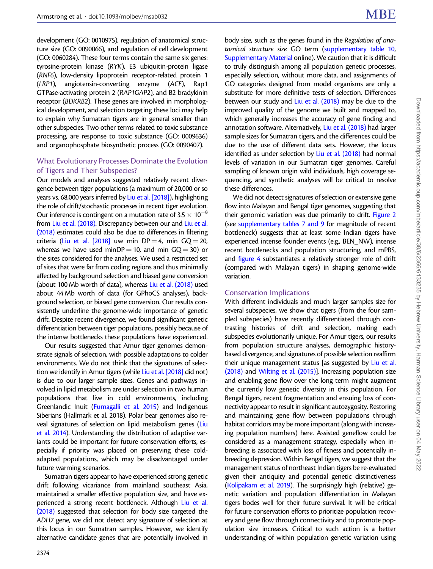development (GO: 0010975), regulation of anatomical structure size (GO: 0090066), and regulation of cell development (GO: 0060284). These four terms contain the same six genes: tyrosine-protein kinase (RYK), E3 ubiquitin-protein ligase (RNF6), low-density lipoprotein receptor-related protein 1 (LRP1), angiotensin-converting enzyme (ACE), Rap1 GTPase-activating protein 2 (RAP1GAP2), and B2 bradykinin receptor (BDKRB2). These genes are involved in morphological development, and selection targeting these loci may help to explain why Sumatran tigers are in general smaller than other subspecies. Two other terms related to toxic substance processing, are response to toxic substance (GO: 0009636) and organophosphate biosynthetic process (GO: 0090407).

## What Evolutionary Processes Dominate the Evolution of Tigers and Their Subspecies?

Our models and analyses suggested relatively recent divergence between tiger populations (a maximum of 20,000 or so years vs. 68,000 years inferred by [Liu et al. \[2018\]](#page-12-0)), highlighting the role of drift/stochastic processes in recent tiger evolution. Our inference is contingent on a mutation rate of 3.5  $\times$  10<sup>-8</sup> from [Liu et al. \(2018\)](#page-12-0). Discrepancy between our and [Liu et al.](#page-12-0) [\(2018\)](#page-12-0) estimates could also be due to differences in filtering criteria [\(Liu et al. \[2018\]](#page-12-0) use min DP = 4, min GQ = 20, whereas we have used minDP = 10, and min  $GO = 30$ ) or the sites considered for the analyses. We used a restricted set of sites that were far from coding regions and thus minimally affected by background selection and biased gene conversion (about 100 Mb worth of data), whereas [Liu et al. \(2018\)](#page-12-0) used about 44 Mb worth of data (for GPhoCS analyses), background selection, or biased gene conversion. Our results consistently underline the genome-wide importance of genetic drift. Despite recent divergence, we found significant genetic differentiation between tiger populations, possibly because of the intense bottlenecks these populations have experienced.

Our results suggested that Amur tiger genomes demonstrate signals of selection, with possible adaptations to colder environments. We do not think that the signatures of selection we identify in Amur tigers (while [Liu et al. \[2018\]](#page-12-0) did not) is due to our larger sample sizes. Genes and pathways involved in lipid metabolism are under selection in two human populations that live in cold environments, including Greenlandic Inuit ([Fumagalli et al. 2015](#page-12-0)) and Indigenous Siberians (Hallmark et al. 2018). Polar bear genomes also reveal signatures of selection on lipid metabolism genes [\(Liu](#page-12-0) [et al. 2014\)](#page-12-0). Understanding the distribution of adaptive variants could be important for future conservation efforts, especially if priority was placed on preserving these coldadapted populations, which may be disadvantaged under future warming scenarios.

Sumatran tigers appear to have experienced strong genetic drift following vicariance from mainland southeast Asia, maintained a smaller effective population size, and have experienced a strong recent bottleneck. Although [Liu et al.](#page-12-0) [\(2018\)](#page-12-0) suggested that selection for body size targeted the ADH7 gene, we did not detect any signature of selection at this locus in our Sumatran samples. However, we identify alternative candidate genes that are potentially involved in

body size, such as the genes found in the Regulation of anatomical structure size GO term (supplementary table 10, Supplementary Material online). We caution that it is difficult to truly distinguish among all population genetic processes, especially selection, without more data, and assignments of GO categories designed from model organisms are only a substitute for more definitive tests of selection. Differences between our study and [Liu et al. \(2018\)](#page-12-0) may be due to the improved quality of the genome we built and mapped to, which generally increases the accuracy of gene finding and annotation software. Alternatively, [Liu et al. \(2018\)](#page-12-0) had larger sample sizes for Sumatran tigers, and the differences could be due to the use of different data sets. However, the locus identified as under selection by [Liu et al. \(2018\)](#page-12-0) had normal levels of variation in our Sumatran tiger genomes. Careful sampling of known origin wild individuals, high coverage sequencing, and synthetic analyses will be critical to resolve these differences.

We did not detect signatures of selection or extensive gene flow into Malayan and Bengal tiger genomes, suggesting that their genomic variation was due primarily to drift. [Figure 2](#page-3-0) (see supplementary tables 7 and 9 for magnitude of recent bottleneck) suggests that at least some Indian tigers have experienced intense founder events (e.g., BEN\_NW), intense recent bottlenecks and population structuring, and mPBS, and [figure 4](#page-7-0) substantiates a relatively stronger role of drift (compared with Malayan tigers) in shaping genome-wide variation.

## Conservation Implications

With different individuals and much larger samples size for several subspecies, we show that tigers (from the four sampled subspecies) have recently differentiated through contrasting histories of drift and selection, making each subspecies evolutionarily unique. For Amur tigers, our results from population structure analyses, demographic historybased divergence, and signatures of possible selection reaffirm their unique management status [as suggested by [Liu et al.](#page-12-0) [\(2018\)](#page-12-0) and [Wilting et al. \(2015\)](#page-13-0)]. Increasing population size and enabling gene flow over the long term might augment the currently low genetic diversity in this population. For Bengal tigers, recent fragmentation and ensuing loss of connectivity appear to result in significant autozygosity. Restoring and maintaining gene flow between populations through habitat corridors may be more important (along with increasing population numbers) here. Assisted geneflow could be considered as a management strategy, especially when inbreeding is associated with loss of fitness and potentially inbreeding depression. Within Bengal tigers, we suggest that the management status of northeast Indian tigers be re-evaluated given their antiquity and potential genetic distinctiveness [\(Kolipakam et al. 2019](#page-12-0)). The surprisingly high (relative) genetic variation and population differentiation in Malayan tigers bodes well for their future survival. It will be critical for future conservation efforts to prioritize population recovery and gene flow through connectivity and to promote population size increases. Critical to such action is a better understanding of within population genetic variation using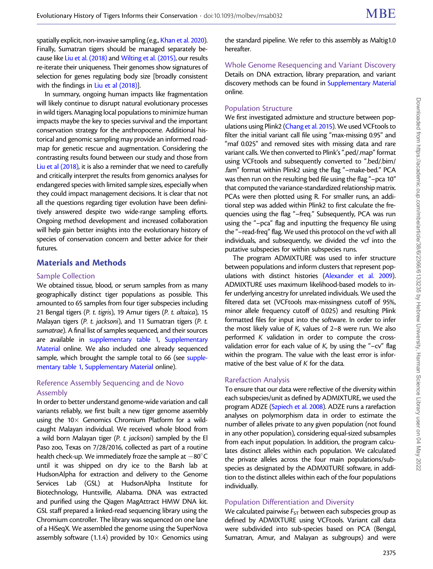spatially explicit, non-invasive sampling (e.g., [Khan et al. 2020\)](#page-12-0). Finally, Sumatran tigers should be managed separately because like [Liu et al. \(2018\)](#page-12-0) and [Wilting et al. \(2015\),](#page-13-0) our results re-iterate their uniqueness. Their genomes show signatures of selection for genes regulating body size [broadly consistent with the findings in [Liu et al \(2018\)\]](#page-12-0).

In summary, ongoing human impacts like fragmentation will likely continue to disrupt natural evolutionary processes in wild tigers. Managing local populations to minimize human impacts maybe the key to species survival and the important conservation strategy for the anthropocene. Additional historical and genomic sampling may provide an informed roadmap for genetic rescue and augmentation. Considering the contrasting results found between our study and those from [Liu et al \(2018\),](#page-12-0) it is also a reminder that we need to carefully and critically interpret the results from genomics analyses for endangered species with limited sample sizes, especially when they could impact management decisions. It is clear that not all the questions regarding tiger evolution have been definitively answered despite two wide-range sampling efforts. Ongoing method development and increased collaboration will help gain better insights into the evolutionary history of species of conservation concern and better advice for their futures.

# Materials and Methods

#### Sample Collection

We obtained tissue, blood, or serum samples from as many geographically distinct tiger populations as possible. This amounted to 65 samples from four tiger subspecies including 21 Bengal tigers (P. t. tigris), 19 Amur tigers (P. t. altaica), 15 Malayan tigers (P. t. jacksoni), and 11 Sumatran tigers (P. t. sumatrae). A final list of samples sequenced, and their sources are available in supplementary table 1, Supplementary Material online. We also included one already sequenced sample, which brought the sample total to 66 (see supplementary table 1, Supplementary Material online).

## Reference Assembly Sequencing and de Novo Assembly

In order to better understand genome-wide variation and call variants reliably, we first built a new tiger genome assembly using the  $10\times$  Genomics Chromium Platform for a wildcaught Malayan individual. We received whole blood from a wild born Malayan tiger (P. t. jacksoni) sampled by the El Paso zoo, Texas on 7/28/2016, collected as part of a routine health check-up. We immediately froze the sample at  $-80^{\circ}$ C until it was shipped on dry ice to the Barsh lab at HudsonAlpha for extraction and delivery to the Genome Services Lab (GSL) at HudsonAlpha Institute for Biotechnology, Huntsville, Alabama. DNA was extracted and purified using the Qiagen MagAttract HMW DNA kit. GSL staff prepared a linked-read sequencing library using the Chromium controller. The library was sequenced on one lane of a HiSeqX. We assembled the genome using the SuperNova assembly software (1.1.4) provided by  $10\times$  Genomics using

the standard pipeline. We refer to this assembly as Maltig1.0 hereafter.

Whole Genome Resequencing and Variant Discovery Details on DNA extraction, library preparation, and variant discovery methods can be found in Supplementary Material online.

## Population Structure

We first investigated admixture and structure between populations using Plink2 [\(Chang et al. 2015](#page-12-0)). We used VCFtools to filter the initial variant call file using "max-missing 0.95" and "maf 0.025" and removed sites with missing data and rare variant calls. We then converted to Plink's ".ped/.map" format using VCFtools and subsequently converted to ".bed/.bim/ .fam" format within Plink2 using the flag "–make-bed." PCA was then run on the resulting bed file using the flag "–pca 10" that computed the variance-standardized relationship matrix. PCAs were then plotted using R. For smaller runs, an additional step was added within Plink2 to first calculate the frequencies using the flag "–freq." Subsequently, PCA was run using the "–pca" flag and inputting the frequency file using the "–read-freq" flag. We used this protocol on the vcf with all individuals, and subsequently, we divided the vcf into the putative subspecies for within subspecies runs.

The program ADMIXTURE was used to infer structure between populations and inform clusters that represent populations with distinct histories [\(Alexander et al. 2009\)](#page-11-0). ADMIXTURE uses maximum likelihood-based models to infer underlying ancestry for unrelated individuals. We used the filtered data set (VCFtools max-missingness cutoff of 95%, minor allele frequency cutoff of 0.025) and resulting Plink formatted files for input into the software. In order to infer the most likely value of K, values of 2–8 were run. We also performed K validation in order to compute the crossvalidation error for each value of  $K$ , by using the "-cv" flag within the program. The value with the least error is informative of the best value of K for the data.

## Rarefaction Analysis

To ensure that our data were reflective of the diversity within each subspecies/unit as defined by ADMIXTURE, we used the program ADZE ([Szpiech et al. 2008](#page-13-0)). ADZE runs a rarefaction analyses on polymorphism data in order to estimate the number of alleles private to any given population (not found in any other population), considering equal-sized subsamples from each input population. In addition, the program calculates distinct alleles within each population. We calculated the private alleles across the four main populations/subspecies as designated by the ADMXITURE software, in addition to the distinct alleles within each of the four populations individually.

## Population Differentiation and Diversity

We calculated pairwise  $F_{ST}$  between each subspecies group as defined by ADMIXTURE using VCFtools. Variant call data were subdivided into sub-species based on PCA (Bengal, Sumatran, Amur, and Malayan as subgroups) and were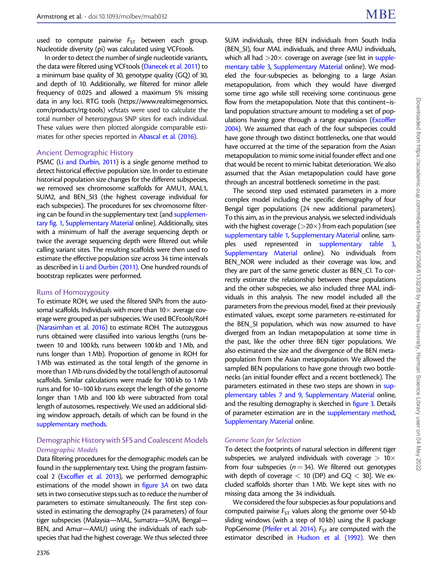used to compute pairwise  $F_{ST}$  between each group. Nucleotide diversity (pi) was calculated using VCFtools.

In order to detect the number of single nucleotide variants, the data were filtered using VCFtools ([Danecek et al. 2011\)](#page-12-0) to a minimum base quality of 30, genotype quality (GQ) of 30, and depth of 10. Additionally, we filtered for minor allele frequency of 0.025 and allowed a maximum 5% missing data in any loci. RTG tools [\(https://www.realtimegenomics.](https://www.realtimegenomics.com/products/rtg-tools) [com/products/rtg-tools\)](https://www.realtimegenomics.com/products/rtg-tools) vcfstats were used to calculate the total number of heterozygous SNP sites for each individual. These values were then plotted alongside comparable estimates for other species reported in [Abascal et al. \(2016\).](#page-11-0)

#### Ancient Demographic History

PSMC [\(Li and Durbin, 2011\)](#page-12-0) is a single genome method to detect historical effective population size. In order to estimate historical population size changes for the different subspecies, we removed sex chromosome scaffolds for AMU1, MAL1, SUM2, and BEN\_SI3 (the highest coverage individual for each subspecies). The procedures for sex chromosome filtering can be found in the supplementary text (and supplementary fig. 1, Supplementary Material online). Additionally, sites with a minimum of half the average sequencing depth or twice the average sequencing depth were filtered out while calling variant sites. The resulting scaffolds were then used to estimate the effective population size across 34 time intervals as described in [Li and Durbin \(2011\).](#page-12-0) One hundred rounds of bootstrap replicates were performed.

#### Runs of Homozygosity

To estimate ROH, we used the filtered SNPs from the autosomal scaffolds. Individuals with more than  $10\times$  average coverage were grouped as per subspecies. We used BCFtools/RoH ([Narasimhan et al. 2016\)](#page-12-0) to estimate ROH. The autozygous runs obtained were classified into various lengths (runs between 10 and 100 kb, runs between 100 kb and 1 Mb, and runs longer than 1 Mb). Proportion of genome in ROH for 1 Mb was estimated as the total length of the genome in more than 1 Mb runs divided by the total length of autosomal scaffolds. Similar calculations were made for 100 kb to 1 Mb runs and for 10–100 kb runs except the length of the genome longer than 1 Mb and 100 kb were subtracted from total length of autosomes, respectively. We used an additional sliding window approach, details of which can be found in the supplementary methods.

## Demographic History with SFS and Coalescent Models Demographic Models

Data filtering procedures for the demographic models can be found in the supplementary text. Using the program fastsimcoal 2 [\(Excoffier et al. 2013\)](#page-12-0), we performed demographic estimations of the model shown in [figure 3](#page-5-0)A on two data sets in two consecutive steps such as to reduce the number of parameters to estimate simultaneously. The first step consisted in estimating the demography (24 parameters) of four tiger subspecies (Malaysia—MAL, Sumatra—SUM, Bengal— BEN, and Amur—AMU) using the individuals of each subspecies that had the highest coverage. We thus selected three

2376

SUM individuals, three BEN individuals from South India (BEN\_SI), four MAL individuals, and three AMU individuals, which all had  $>$  20 $\times$  coverage on average (see list in supplementary table 3, Supplementary Material online). We modeled the four-subspecies as belonging to a large Asian metapopulation, from which they would have diverged some time ago while still receiving some continuous gene flow from the metapopulation. Note that this continent–island population structure amount to modeling a set of populations having gone through a range expansion [\(Excoffier](#page-12-0) [2004\)](#page-12-0). We assumed that each of the four subspecies could have gone through two distinct bottlenecks, one that would have occurred at the time of the separation from the Asian metapopulation to mimic some initial founder effect and one that would be recent to mimic habitat deterioration. We also assumed that the Asian metapopulation could have gone through an ancestral bottleneck sometime in the past.

The second step used estimated parameters in a more complex model including the specific demography of four Bengal tiger populations (24 new additional parameters). To this aim, as in the previous analysis, we selected individuals with the highest coverage ( $>$ 20 $\times$ ) from each population (see supplementary table 1, Supplementary Material online, samples used represented in supplementary table 3, Supplementary Material online). No individuals from BEN\_NOR were included as their coverage was low, and they are part of the same genetic cluster as BEN\_CI. To correctly estimate the relationship between these populations and the other subspecies, we also included three MAL individuals in this analysis. The new model included all the parameters from the previous model, fixed at their previously estimated values, except some parameters re-estimated for the BEN\_SI population, which was now assumed to have diverged from an Indian metapopulation at some time in the past, like the other three BEN tiger populations. We also estimated the size and the divergence of the BEN metapopulation from the Asian metapopulation. We allowed the sampled BEN populations to have gone through two bottlenecks (an initial founder effect and a recent bottleneck). The parameters estimated in these two steps are shown in supplementary tables 7 and 9, Supplementary Material online, and the resulting demography is sketched in [figure 3.](#page-5-0) Details of parameter estimation are in the supplementary method, Supplementary Material online.

## Genome Scan for Selection

To detect the footprints of natural selection in different tiger subspecies, we analyzed individuals with coverage  $> 10\times$ from four subspecies ( $n = 34$ ). We filtered out genotypes with depth of coverage  $<$  10 (DP) and GQ  $<$  30]. We excluded scaffolds shorter than 1 Mb. We kept sites with no missing data among the 34 individuals.

We considered the four subspecies as four populations and computed pairwise  $F_{ST}$  values along the genome over 50-kb sliding windows (with a step of 10 kb) using the R package PopGenome [\(Pfeifer et al. 2014\)](#page-13-0).  $F_{ST}$  are computed with the estimator described in [Hudson et al. \(1992\).](#page-12-0) We then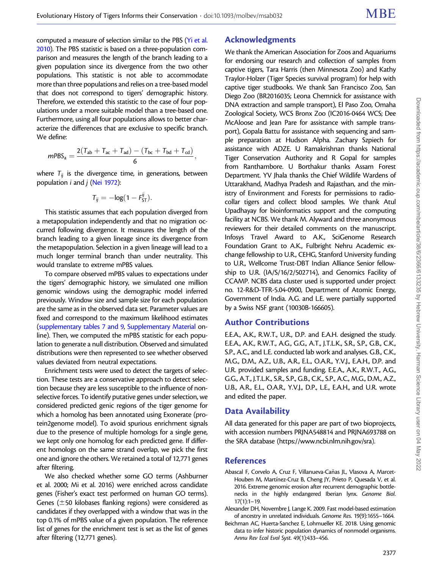<span id="page-11-0"></span>computed a measure of selection similar to the PBS [\(Yi et al.](#page-13-0) [2010\)](#page-13-0). The PBS statistic is based on a three-population comparison and measures the length of the branch leading to a given population since its divergence from the two other populations. This statistic is not able to accommodate more than three populations and relies on a tree-based model that does not correspond to tigers' demographic history. Therefore, we extended this statistic to the case of four populations under a more suitable model than a tree-based one. Furthermore, using all four populations allows to better characterize the differences that are exclusive to specific branch. We define:

$$
mPBS_{a} = \frac{2(T_{ab} + T_{ac} + T_{ad}) - (T_{bc} + T_{bd} + T_{cd})}{6},
$$

where  $T_{ij}$  is the divergence time, in generations, between population  $i$  and  $j$  [\(Nei 1972\)](#page-12-0):

$$
T_{ij}=-\log(1-F_{\text{ST}}^{ij}).
$$

This statistic assumes that each population diverged from a metapopulation independently and that no migration occurred following divergence. It measures the length of the branch leading to a given lineage since its divergence from the metapopulation. Selection in a given lineage will lead to a much longer terminal branch than under neutrality. This would translate to extreme mPBS values.

To compare observed mPBS values to expectations under the tigers' demographic history, we simulated one million genomic windows using the demographic model inferred previously. Window size and sample size for each population are the same as in the observed data set. Parameter values are fixed and correspond to the maximum likelihood estimates (supplementary tables 7 and 9, Supplementary Material online). Then, we computed the mPBS statistic for each population to generate a null distribution. Observed and simulated distributions were then represented to see whether observed values deviated from neutral expectations.

Enrichment tests were used to detect the targets of selection. These tests are a conservative approach to detect selection because they are less susceptible to the influence of nonselective forces. To identify putative genes under selection, we considered predicted genic regions of the tiger genome for which a homolog has been annotated using Exonerate (protein2genome model). To avoid spurious enrichment signals due to the presence of multiple homologs for a single gene, we kept only one homolog for each predicted gene. If different homologs on the same strand overlap, we pick the first one and ignore the others. We retained a total of 12,771 genes after filtering.

We also checked whether some GO terms (Ashburner et al. 2000; Mi et al. 2016) were enriched across candidate genes (Fisher's exact test performed on human GO terms). Genes ( $\pm$ 50 kilobases flanking regions) were considered as candidates if they overlapped with a window that was in the top 0.1% of mPBS value of a given population. The reference list of genes for the enrichment test is set as the list of genes after filtering (12,771 genes).

# Acknowledgments

We thank the American Association for Zoos and Aquariums for endorsing our research and collection of samples from captive tigers, Tara Harris (then Minnesota Zoo) and Kathy Traylor-Holzer (Tiger Species survival program) for help with captive tiger studbooks. We thank San Francisco Zoo, San Diego Zoo (BR2016035; Leona Chemnick for assistance with DNA extraction and sample transport), El Paso Zoo, Omaha Zoological Society, WCS Bronx Zoo (IC2016-0464 WCS; Dee McAloose and Jean Pare for assistance with sample transport), Gopala Battu for assistance with sequencing and sample preparation at Hudson Alpha. Zachary Szpiech for assistance with ADZE. U Ramakrishnan thanks National Tiger Conservation Authority and R Gopal for samples from Ranthambore. U Borthakur thanks Assam Forest Department. YV Jhala thanks the Chief Wildlife Wardens of Uttarakhand, Madhya Pradesh and Rajasthan, and the ministry of Environment and Forests for permissions to radiocollar tigers and collect blood samples. We thank Atul Upadhayay for bioinformatics support and the computing facility at NCBS. We thank M. Alyward and three anonymous reviewers for their detailed comments on the manuscript. Infosys Travel Award to A.K., SciGenome Research Foundation Grant to A.K., Fulbright Nehru Academic exchange fellowship to U.R., CEHG, Stanford University funding to U.R., Wellcome Trust-DBT Indian Alliance Senior fellowship to U.R. (IA/S/16/2/502714), and Genomics Facility of CCAMP. NCBS data cluster used is supported under project no. 12-R&D-TFR-5.04-0900, Department of Atomic Energy, Government of India. A.G. and L.E. were partially supported by a Swiss NSF grant (10030B-166605).

# Author Contributions

E.E.A., A.K., R.W.T., U.R., D.P. and E.A.H. designed the study. E.E.A., A.K., R.W.T., A.G., G.G., A.T., J.T.L.K., S.R., S.P., G.B., C.K., S.P., A.C., and L.E. conducted lab work and analyses. G.B., C.K., M.G., D.M., A.Z., U.B., A.R., E.L., O.A.R., Y.V.J., E.A.H., D.P. and U.R. provided samples and funding. E.E.A., A.K., R.W.T., A.G., G.G., A.T., J.T.L.K., S.R., S.P., G.B., C.K., S.P., A.C., M.G., D.M., A.Z., U.B., A.R., E.L., O.A.R., Y.V.J., D.P., L.E., E.A.H., and U.R. wrote and edited the paper.

# Data Availability

All data generated for this paper are part of two bioprojects, with accession numbers PRJNA548814 and PRJNA693788 on the SRA database [\(https://www.ncbi.nlm.nih.gov/sra](https://www.ncbi.nlm.nih.gov/sra)).

# References

- Abascal F, Corvelo A, Cruz F, Villanueva-Cañas JL, Vlasova A, Marcet-Houben M, Martínez-Cruz B, Cheng JY, Prieto P, Quesada V, et al. 2016. Extreme genomic erosion after recurrent demographic bottlenecks in the highly endangered Iberian lynx. Genome Biol. 17(1):1–19.
- Alexander DH, Novembre J, Lange K. 2009. Fast model-based estimation of ancestry in unrelated individuals. Genome Res. 19(9):1655–1664.
- Beichman AC, Huerta-Sanchez E, Lohmueller KE. 2018. Using genomic data to infer historic population dynamics of nonmodel organisms. Annu Rev Ecol Evol Syst. 49(1):433–456.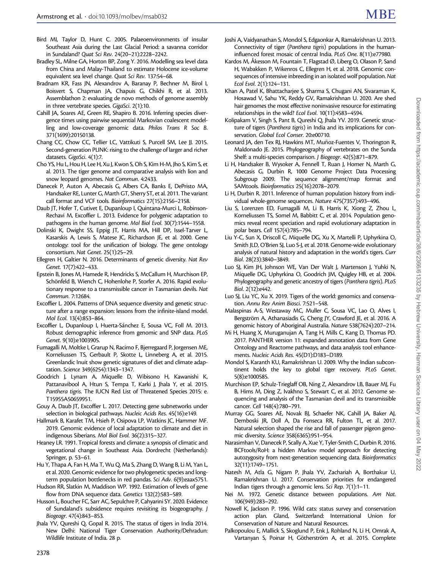- <span id="page-12-0"></span>Bird MI, Taylor D, Hunt C. 2005. Palaeoenvironments of insular Southeast Asia during the Last Glacial Period: a savanna corridor in Sundaland? Quat Sci Rev. 24(20–21):2228–2242.
- Bradley SL, Milne GA, Horton BP, Zong Y. 2016. Modelling sea level data from China and Malay-Thailand to estimate Holocene ice-volume equivalent sea level change. Quat Sci Rev. 137:54–68.
- Bradnam KR, Fass JN, Alexandrov A, Baranay P, Bechner M, Birol I, Boisvert S, Chapman JA, Chapuis G, Chikhi R, et al. 2013. Assemblathon 2: evaluating de novo methods of genome assembly in three vertebrate species. GigaSci. 2(1):10.
- Cahill JA, Soares AE, Green RE, Shapiro B. 2016. Inferring species divergence times using pairwise sequential Markovian coalescent modelling and low-coverage genomic data. Philos Trans R Soc B. 371(1699):20150138.
- Chang CC, Chow CC, Tellier LC, Vattikuti S, Purcell SM, Lee JJ. 2015. Second-generation PLINK: rising to the challenge of larger and richer datasets. GigaSci. 4(1):7.
- Cho YS, Hu L, Hou H, Lee H, Xu J, Kwon S, Oh S, Kim H-M, Jho S, Kim S, et al. 2013. The tiger genome and comparative analysis with lion and snow leopard genomes. Nat Commun. 4:2433.
- Danecek P, Auton A, Abecasis G, Albers CA, Banks E, DePristo MA, Handsaker RE, Lunter G, Marth GT, Sherry ST, et al. 2011. The variant call format and VCF tools. Bioinformatics 27(15):2156–2158.
- Daub JT, Hofer T, Cutivet E, Dupanloup I, Quintana-Murci L, Robinson-Rechavi M, Excoffier L. 2013. Evidence for polygenic adaptation to pathogens in the human genome. Mol Biol Evol. 30(7):1544–1558.
- Dolinski K, Dwight SS, Eppig JT, Harris MA, Hill DP, Issel-Tarver L, Kasarskis A, Lewis S, Matese JC, Richardson JE, et al. 2000. Gene ontology: tool for the unification of biology. The gene ontology consortium. Nat Genet. 25(1):25–29.
- Ellegren H, Galtier N. 2016. Determinants of genetic diversity. Nat Rev Genet. 17(7):422–433.
- Epstein B, Jones M, Hamede R, Hendricks S, McCallum H, Murchison EP, Schönfeld B, Wiench C, Hohenlohe P, Storfer A. 2016. Rapid evolutionary response to a transmissible cancer in Tasmanian devils. Nat Commun. 7:12684.
- Excoffier L. 2004. Patterns of DNA sequence diversity and genetic structure after a range expansion: lessons from the infinite-island model. Mol Ecol. 13(4):853–864.
- Excoffier L, Dupanloup I, Huerta-Sánchez E, Sousa VC, Foll M. 2013. Robust demographic inference from genomic and SNP data. PLoS Genet. 9(10):e1003905.
- Fumagalli M, Moltke I, Grarup N, Racimo F, Bjerregaard P, Jorgensen ME, Korneliussen TS, Gerbault P, Skotte L, Linneberg A, et al. 2015. Greenlandic Inuit show genetic signatures of diet and climate adaptation. Science 349(6254):1343–1347.
- Goodrich J, Lynam A, Miquelle D, Wibisono H, Kawanishi K, Pattanavibool A, Htun S, Tempa T, Karki J, Jhala Y, et al. 2015. Panthera tigris. The IUCN Red List of Threatened Species 2015: e. T15955A50659951.
- Gouy A, Daub JT, Excoffier L. 2017. Detecting gene subnetworks under selection in biological pathways. Nucleic Acids Res. 45(16):e149.
- Hallmark B, Karafet TM, Hsieh P, Osipova LP, Watkins JC, Hammer MF. 2019. Genomic evidence of local adaptation to climate and diet in indigenous Siberians. Mol Biol Evol. 36(2):315–327.
- Heaney LR. 1991. Tropical forests and climate: a synopsis of climatic and vegetational change in Southeast Asia. Dordrecht (Netherlands): Springer, p. 53–61.
- Hu Y, Thapa A, Fan H, Ma T, Wu Q, Ma S, Zhang D, Wang B, Li M, Yan L, et al. 2020. Genomic evidence for two phylogenetic species and longterm population bottlenecks in red pandas. Sci Adv. 6(9):eaax5751.
- Hudson RR, Slatkin M, Maddison WP. 1992. Estimation of levels of gene flow from DNA sequence data. Genetics 132(2):583–589.
- Husson L, Boucher FC, Sarr AC, Sepulchre P, Cahyarini SY. 2020. Evidence of Sundaland's subsidence requires revisiting its biogeography. J Biogeogr. 47(4):843–853.
- Jhala YV, Qureshi Q, Gopal R. 2015. The status of tigers in India 2014. New Delhi: National Tiger Conservation Authority/Dehradun: Wildlife Institute of India. 28 p.
- Joshi A, Vaidyanathan S, Mondol S, Edgaonkar A, Ramakrishnan U. 2013. Connectivity of tiger (Panthera tigris) populations in the humaninfluenced forest mosaic of central India. PLoS One. 8(11):e77980.
- Kardos M, Åkesson M, Fountain T, Flagstad Ø, Liberg O, Olason P, Sand H, Wabakken P, Wikenros C, Ellegren H, et al. 2018. Genomic consequences of intensive inbreeding in an isolated wolf population. Nat Ecol Evol. 2(1):124–131.
- Khan A, Patel K, Bhattacharjee S, Sharma S, Chugani AN, Sivaraman K, Hosawad V, Sahu YK, Reddy GV, Ramakrishnan U. 2020. Are shed hair genomes the most effective noninvasive resource for estimating relationships in the wild? Ecol Evol. 10(11):4583–4594.
- Kolipakam V, Singh S, Pant B, Qureshi Q, Jhala YV. 2019. Genetic structure of tigers (Panthera tigris) in India and its implications for conservation. Global Ecol Conser. 20:e00710.
- Leonard JA, den Tex RJ, Hawkins MT, Muñoz-Fuentes V, Thorington R, Maldonado JE. 2015. Phylogeography of vertebrates on the Sunda Shelf: a multi-species comparison. J Biogeogr. 42(5):871–879.
- Li H, Handsaker B, Wysoker A, Fennell T, Ruan J, Homer N, Marth G, Abecasis G, Durbin R, 1000 Genome Project Data Processing Subgroup 2009. The sequence alignment/map format and SAMtools. Bioinformatics 25(16):2078–2079.
- Li H, Durbin R. 2011. Inference of human population history from individual whole-genome sequences. Nature 475(7357):493–496.
- Liu S, Lorenzen ED, Fumagalli M, Li B, Harris K, Xiong Z, Zhou L, Korneliussen TS, Somel M, Babbitt C, et al. 2014. Population genomics reveal recent speciation and rapid evolutionary adaptation in polar bears. Cell 157(4):785–794.
- Liu Y-C, Sun X, Driscoll C, Miquelle DG, Xu X, Martelli P, Uphyrkina O, Smith JLD, O'Brien SJ, Luo S-J, et al. 2018. Genome-wide evolutionary analysis of natural history and adaptation in the world's tigers. Curr Biol. 28(23):3840–3849.
- Luo SJ, Kim JH, Johnson WE, Van Der Walt J, Martenson J, Yuhki N, Miquelle DG, Uphyrkina O, Goodrich JM, Quigley HB, et al. 2004. Phylogeography and genetic ancestry of tigers (Panthera tigris). PLoS Biol. 2(12):e442.
- Luo SJ, Liu YC, Xu X. 2019. Tigers of the world: genomics and conservation. Annu Rev Anim Biosci. 7:521–548.
- Malaspinas A-S, Westaway MC, Muller C, Sousa VC, Lao O, Alves I, Bergström A, Athanasiadis G, Cheng JY, Crawford JE, et al. 2016. A genomic history of Aboriginal Australia. Nature 538(7624):207–214.
- Mi H, Huang X, Muruganujan A, Tang H, Mills C, Kang D, Thomas PD. 2017. PANTHER version 11: expanded annotation data from Gene Ontology and Reactome pathways, and data analysis tool enhancements. Nucleic Acids Res. 45(D1):D183–D189.
- Mondol S, Karanth KU, Ramakrishnan U. 2009. Why the Indian subcontinent holds the key to global tiger recovery. PLoS Genet. 5(8):e1000585.
- Murchison EP, Schulz-Trieglaff OB, Ning Z, Alexandrov LB, Bauer MJ, Fu B, Hims M, Ding Z, Ivakhno S, Stewart C, et al. 2012. Genome sequencing and analysis of the Tasmanian devil and its transmissible cancer. Cell 148(4):780–791.
- Murray GG, Soares AE, Novak BJ, Schaefer NK, Cahill JA, Baker AJ, Demboski JR, Doll A, Da Fonseca RR, Fulton TL, et al. 2017. Natural selection shaped the rise and fall of passenger pigeon genomic diversity. Science 358(6365):951–954.
- Narasimhan V, Danecek P, Scally A, Xue Y, Tyler-Smith C, Durbin R. 2016. BCFtools/RoH: a hidden Markov model approach for detecting autozygosity from next-generation sequencing data. Bioinformatics 32(11):1749–1751.
- Natesh M, Atla G, Nigam P, Jhala YV, Zachariah A, Borthakur U, Ramakrishnan U. 2017. Conservation priorities for endangered Indian tigers through a genomic lens. Sci Rep. 7(1):1–11.
- Nei M. 1972. Genetic distance between populations. Am Nat. 106(949):283–292.
- Nowell K, Jackson P. 1996. Wild cats: status survey and conservation action plan. Gland, Switzerland: International Union for Conservation of Nature and Natural Resources.
- Palkopoulou E, Mallick S, Skoglund P, Enk J, Rohland N, Li H, Omrak A, Vartanyan S, Poinar H, Götherström A, et al. 2015. Complete